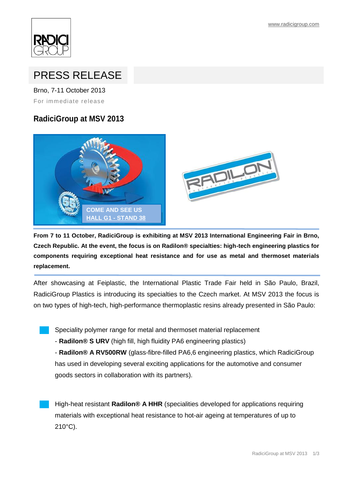

# PRESS RELEASE

Brno, 7-11 October 2013 For immediate release

# **RadiciGroup at MSV 2013**



**From 7 to 11 October, RadiciGroup is exhibiting at MSV 2013 International Engineering Fair in Brno, Czech Republic. At the event, the focus is on Radilon® specialties: high-tech engineering plastics for components requiring exceptional heat resistance and for use as metal and thermoset materials replacement.**

After showcasing at Feiplastic, the International Plastic Trade Fair held in São Paulo, Brazil, RadiciGroup Plastics is introducing its specialties to the Czech market. At MSV 2013 the focus is on two types of high-tech, high-performance thermoplastic resins already presented in São Paulo:

Speciality polymer range for metal and thermoset material replacement

- **Radilon® S URV** (high fill, high fluidity PA6 engineering plastics)

- **Radilon® A RV500RW** (glass-fibre-filled PA6,6 engineering plastics, which RadiciGroup has used in developing several exciting applications for the automotive and consumer goods sectors in collaboration with its partners).

 High-heat resistant **Radilon® A HHR** (specialities developed for applications requiring materials with exceptional heat resistance to hot-air ageing at temperatures of up to 210°C).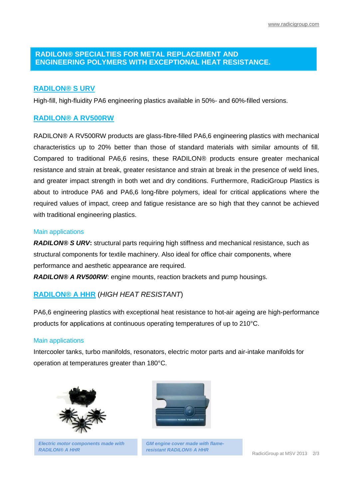# **RADILON® SPECIALTIES FOR METAL REPLACEMENT AND ENGINEERING POLYMERS WITH EXCEPTIONAL HEAT RESISTANCE.**

### **RADILON® S URV**

High-fill, high-fluidity PA6 engineering plastics available in 50%- and 60%-filled versions.

#### **RADILON® A RV500RW**

RADILON® A RV500RW products are glass-fibre-filled PA6,6 engineering plastics with mechanical characteristics up to 20% better than those of standard materials with similar amounts of fill. Compared to traditional PA6,6 resins, these RADILON® products ensure greater mechanical resistance and strain at break, greater resistance and strain at break in the presence of weld lines, and greater impact strength in both wet and dry conditions. Furthermore, RadiciGroup Plastics is about to introduce PA6 and PA6,6 long-fibre polymers, ideal for critical applications where the required values of impact, creep and fatigue resistance are so high that they cannot be achieved with traditional engineering plastics.

#### Main applications

**RADILON® S URV:** structural parts requiring high stiffness and mechanical resistance, such as structural components for textile machinery. Also ideal for office chair components, where performance and aesthetic appearance are required.

*RADILON® A RV500RW*: engine mounts, reaction brackets and pump housings.

## **RADILON® A HHR** (*HIGH HEAT RESISTANT*)

PA6,6 engineering plastics with exceptional heat resistance to hot-air ageing are high-performance products for applications at continuous operating temperatures of up to 210°C.

#### Main applications

Intercooler tanks, turbo manifolds, resonators, electric motor parts and air-intake manifolds for operation at temperatures greater than 180°C.



*Electric motor components made with RADILON® A HHR*



*GM engine cover made with flameresistant RADILON® A HHR*